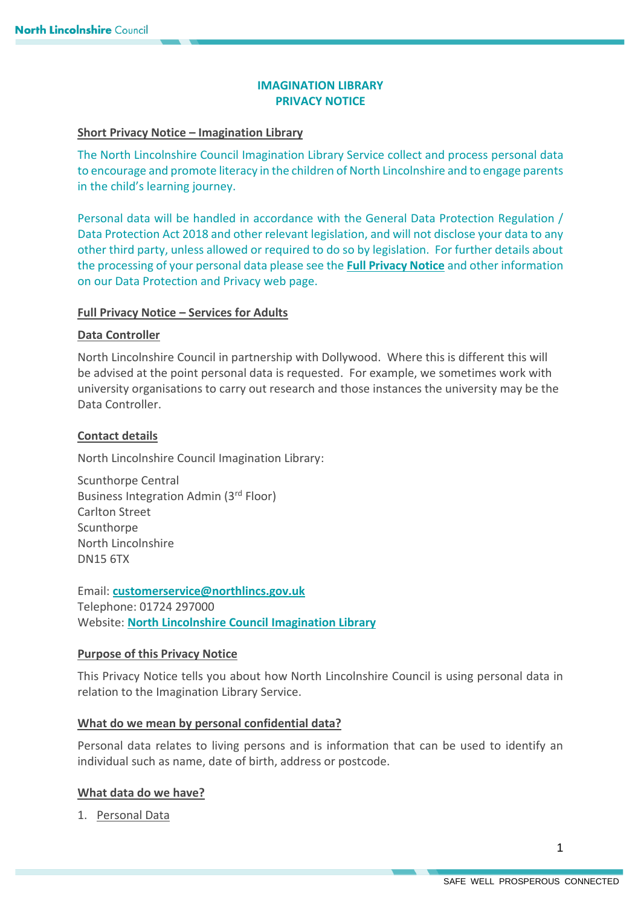# **IMAGINATION LIBRARY PRIVACY NOTICE**

### **Short Privacy Notice – Imagination Library**

The North Lincolnshire Council Imagination Library Service collect and process personal data to encourage and promote literacy in the children of North Lincolnshire and to engage parents in the child's learning journey.

Personal data will be handled in accordance with the General Data Protection Regulation / Data Protection Act 2018 and other relevant legislation, and will not disclose your data to any other third party, unless allowed or required to do so by legislation. For further details about the processing of your personal data please see the **[Full Privacy Notice](https://www.northlincs.gov.uk/your-council/about-your-council/information-and-performance/information-governance/data-protection-and-privacy/)** and other information on our Data Protection and Privacy web page.

# **Full Privacy Notice – Services for Adults**

### **Data Controller**

North Lincolnshire Council in partnership with Dollywood. Where this is different this will be advised at the point personal data is requested. For example, we sometimes work with university organisations to carry out research and those instances the university may be the Data Controller.

# **Contact details**

North Lincolnshire Council Imagination Library:

Scunthorpe Central Business Integration Admin (3rd Floor) Carlton Street **Scunthorpe** North Lincolnshire DN15 6TX

Email: **[customerservice@northlincs.gov.uk](mailto:customerservice@northlincs.gov.uk)** Telephone: 01724 297000 Website: **[North Lincolnshire Council Imagination Library](https://www.northlincs.gov.uk/schools-libraries-and-learning/imagination-library/)**

# **Purpose of this Privacy Notice**

This Privacy Notice tells you about how North Lincolnshire Council is using personal data in relation to the Imagination Library Service.

#### **What do we mean by personal confidential data?**

Personal data relates to living persons and is information that can be used to identify an individual such as name, date of birth, address or postcode.

# **What data do we have?**

1. Personal Data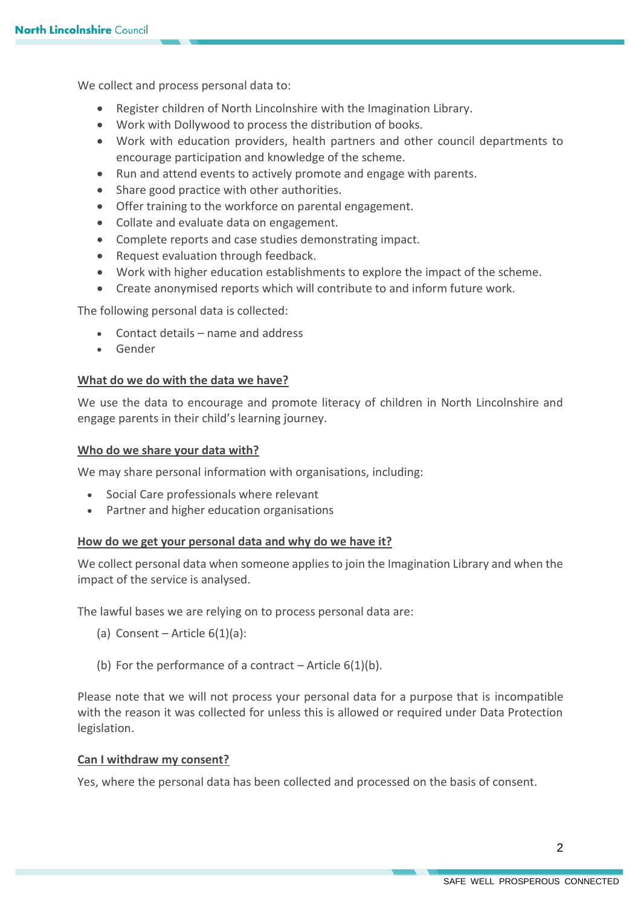We collect and process personal data to:

- Register children of North Lincolnshire with the Imagination Library.
- Work with Dollywood to process the distribution of books.
- Work with education providers, health partners and other council departments to encourage participation and knowledge of the scheme.
- Run and attend events to actively promote and engage with parents.
- Share good practice with other authorities.
- Offer training to the workforce on parental engagement.
- Collate and evaluate data on engagement.
- Complete reports and case studies demonstrating impact.
- Request evaluation through feedback.
- Work with higher education establishments to explore the impact of the scheme.
- Create anonymised reports which will contribute to and inform future work.

The following personal data is collected:

- Contact details name and address
- Gender

#### **What do we do with the data we have?**

We use the data to encourage and promote literacy of children in North Lincolnshire and engage parents in their child's learning journey.

#### **Who do we share your data with?**

We may share personal information with organisations, including:

- Social Care professionals where relevant
- Partner and higher education organisations

### **How do we get your personal data and why do we have it?**

We collect personal data when someone applies to join the Imagination Library and when the impact of the service is analysed.

The lawful bases we are relying on to process personal data are:

- (a) Consent Article  $6(1)(a)$ :
- (b) For the performance of a contract Article  $6(1)(b)$ .

Please note that we will not process your personal data for a purpose that is incompatible with the reason it was collected for unless this is allowed or required under Data Protection legislation.

#### **Can I withdraw my consent?**

Yes, where the personal data has been collected and processed on the basis of consent.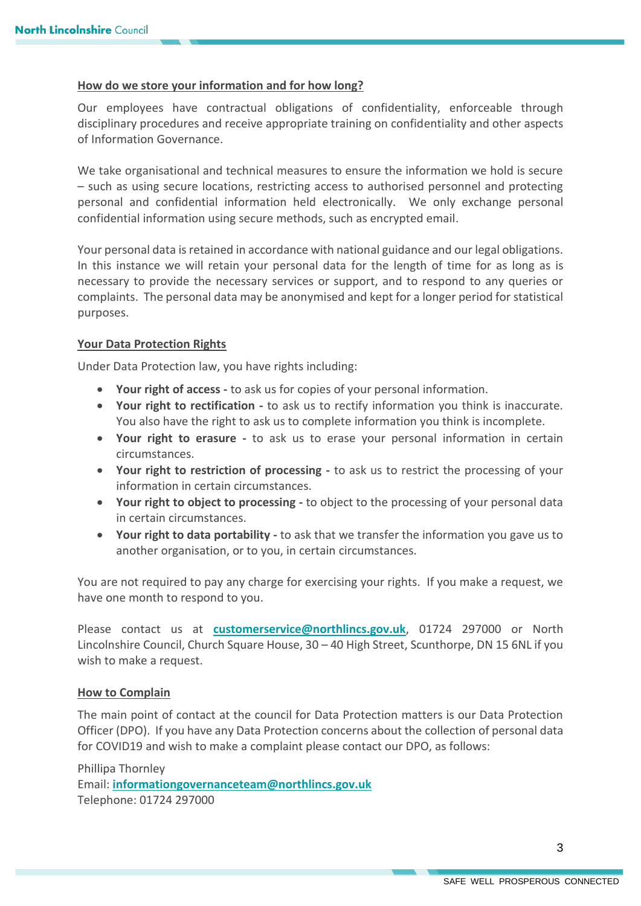#### **How do we store your information and for how long?**

Our employees have contractual obligations of confidentiality, enforceable through disciplinary procedures and receive appropriate training on confidentiality and other aspects of Information Governance.

We take organisational and technical measures to ensure the information we hold is secure – such as using secure locations, restricting access to authorised personnel and protecting personal and confidential information held electronically. We only exchange personal confidential information using secure methods, such as encrypted email.

Your personal data is retained in accordance with national guidance and our legal obligations. In this instance we will retain your personal data for the length of time for as long as is necessary to provide the necessary services or support, and to respond to any queries or complaints. The personal data may be anonymised and kept for a longer period for statistical purposes.

#### **Your Data Protection Rights**

Under Data Protection law, you have rights including:

- **Your right of access -** to ask us for copies of your personal information.
- **Your right to rectification -** to ask us to rectify information you think is inaccurate. You also have the right to ask us to complete information you think is incomplete.
- **Your right to erasure -** to ask us to erase your personal information in certain circumstances.
- **Your right to restriction of processing -** to ask us to restrict the processing of your information in certain circumstances.
- **Your right to object to processing -** to object to the processing of your personal data in certain circumstances.
- **Your right to data portability -** to ask that we transfer the information you gave us to another organisation, or to you, in certain circumstances.

You are not required to pay any charge for exercising your rights. If you make a request, we have one month to respond to you.

Please contact us at **[customerservice@northlincs.gov.uk](mailto:customerservice@northlincs.gov.uk)**, 01724 297000 or North Lincolnshire Council, Church Square House, 30 – 40 High Street, Scunthorpe, DN 15 6NL if you wish to make a request.

#### **How to Complain**

The main point of contact at the council for Data Protection matters is our Data Protection Officer (DPO). If you have any Data Protection concerns about the collection of personal data for COVID19 and wish to make a complaint please contact our DPO, as follows:

Phillipa Thornley Email: **[informationgovernanceteam@northlincs.gov.uk](mailto:informationgovernanceteam@northlincs.gov.uk)** Telephone: 01724 297000